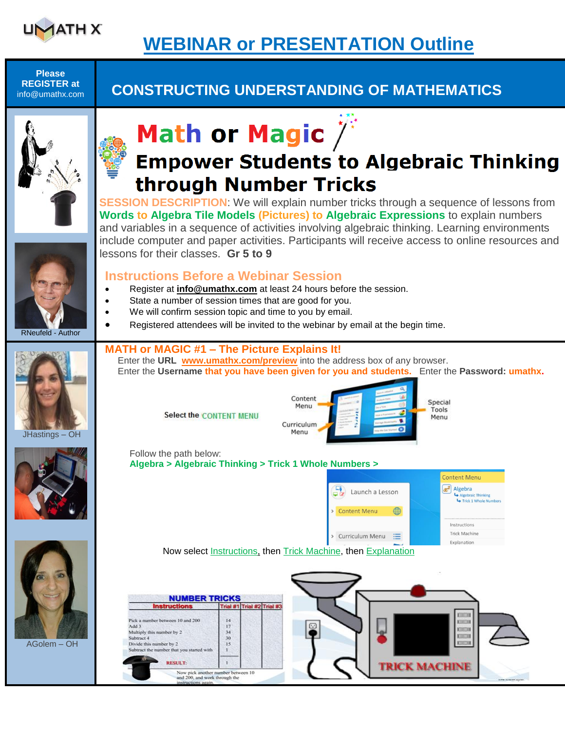

# **WEBINAR or PRESENTATION Outline**

**Please REGISTER at**

## info@umathx.com **CONSTRUCTING UNDERSTANDING OF MATHEMATICS**





# **Empower Students to Algebraic Thinking** through Number Tricks

**SESSION DESCRIPTION:** We will explain number tricks through a sequence of lessons from **Words to Algebra Tile Models (Pictures) to Algebraic Expressions** to explain numbers and variables in a sequence of activities involving algebraic thinking. Learning environments include computer and paper activities. Participants will receive access to online resources and lessons for their classes. **Gr 5 to 9**



- Register at **[info@umathx.com](mailto:info@umathx.com)** at least 24 hours before the session.
- State a number of session times that are good for you.
- We will confirm session topic and time to you by email.
- Registered attendees will be invited to the webinar by email at the begin time.

### **MATH or MAGIC #1 – The Picture Explains It!**

 Enter the **URL [www.umathx.com/preview](http://www.umathx.com/preview)** into the address box of any browser. Enter the **Username that you have been given for you and students.** Enter the **Password: umathx.**

Special

Tools

Menu

Content

Menu

**Select the CONTENT MENU** 



RNeufeld - Author





AGolem – OH

 $\overline{\phantom{a}}$ 



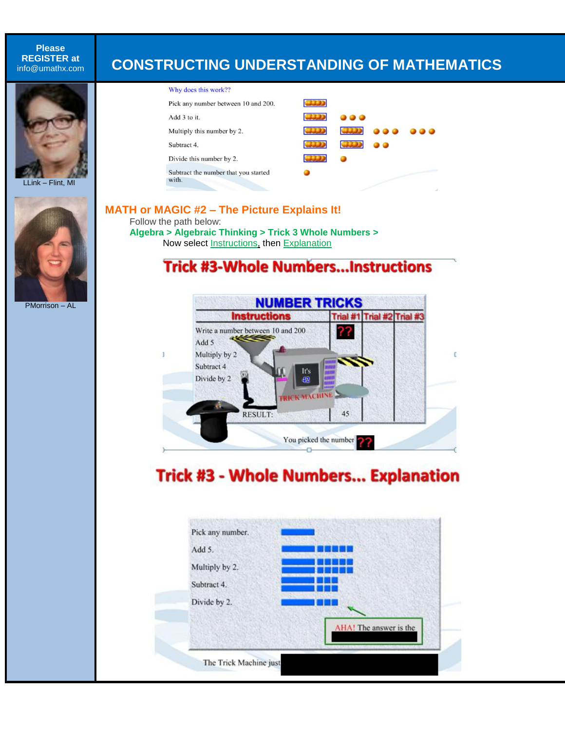**Please REGISTER at**

### info@umathx.com **CONSTRUCTING UNDERSTANDING OF MATHEMATICS**



ı



PMorrison – AL

#### Why does this work?? **COD** Pick any number between 10 and 200. 3333 Add 3 to it. **COD** Multiply this number by 2. **COD** Subtract 4. 3333 Divide this number by 2. Subtract the number that you started ٠ with.

**MATH or MAGIC #2 – The Picture Explains It!** Follow the path below:

**Algebra > Algebraic Thinking > Trick 3 Whole Numbers >** Now select Instructions, then Explanation

### **Trick #3-Whole Numbers...Instructions**



# **Trick #3 - Whole Numbers... Explanation**

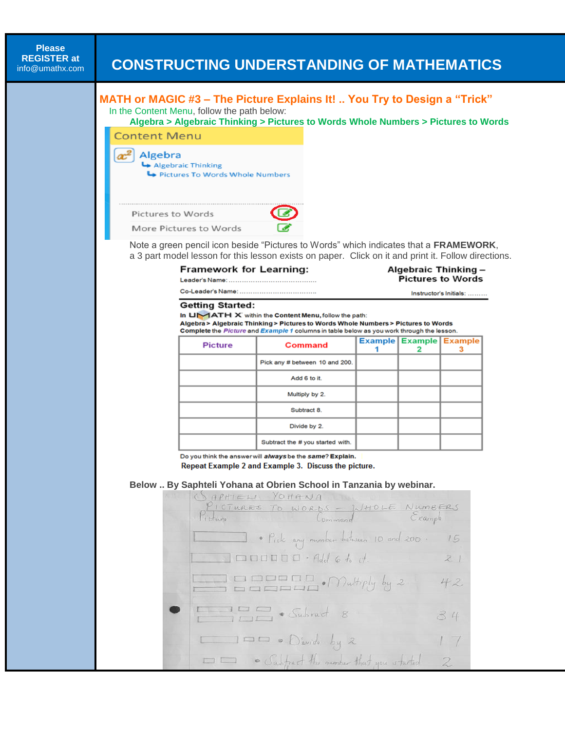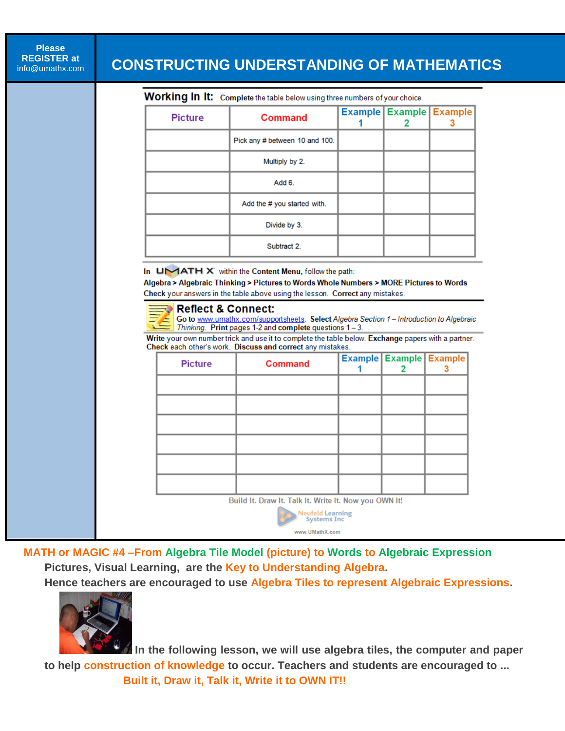**Please REGISTER at**

# info@umathx.com **CONSTRUCTING UNDERSTANDING OF MATHEMATICS**

Working In It: Complete the table below using three numbers of your choice.

| <b>Picture</b> | <b>Command</b>                 | <b>Example Example Example</b> |  |
|----------------|--------------------------------|--------------------------------|--|
|                | Pick any # between 10 and 100. |                                |  |
|                | Multiply by 2.                 |                                |  |
|                | Add 6.                         |                                |  |
|                | Add the # you started with.    |                                |  |
|                | Divide by 3.                   |                                |  |
|                | Subtract 2.                    |                                |  |

In UMATH X within the Content Menu, follow the path:

Algebra > Algebraic Thinking > Pictures to Words Whole Numbers > MORE Pictures to Words Check your answers in the table above using the lesson. Correct any mistakes.

### Reflect & Connect:

Go to www.umathx.com/supportsheets. Select Algebra Section 1 - Introduction to Algebraic Thinking. Print pages 1-2 and complete questions 1-3.

Write your own number trick and use it to complete the table below. Exchange papers with a partner. Check each other's work. Discuss and correct any mistakes.

| <b>Picture</b>                                        | <b>Command</b>                          |  | <b>Example Example Example</b> | з |  |
|-------------------------------------------------------|-----------------------------------------|--|--------------------------------|---|--|
|                                                       |                                         |  |                                |   |  |
|                                                       |                                         |  |                                |   |  |
|                                                       |                                         |  |                                |   |  |
|                                                       |                                         |  |                                |   |  |
|                                                       |                                         |  |                                |   |  |
|                                                       |                                         |  |                                |   |  |
| Build It. Draw It. Talk It. Write It. Now you OWN It! |                                         |  |                                |   |  |
|                                                       | <b>Neufeld Learning<br/>Systems Inc</b> |  |                                |   |  |
| www.UMathX.com                                        |                                         |  |                                |   |  |

ı

**MATH or MAGIC #4 –From Algebra Tile Model (picture) to Words to Algebraic Expression Pictures, Visual Learning, are the Key to Understanding Algebra.**

**Hence teachers are encouraged to use Algebra Tiles to represent Algebraic Expressions.**



 **In the following lesson, we will use algebra tiles, the computer and paper to help construction of knowledge to occur. Teachers and students are encouraged to ... Built it, Draw it, Talk it, Write it to OWN IT!!**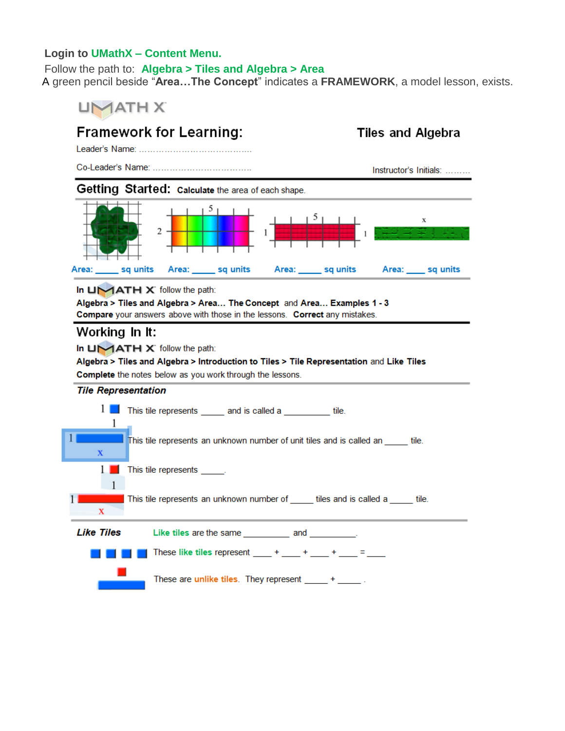### **Login to UMathX – Content Menu.**

#### Follow the path to: **Algebra > Tiles and Algebra > Area**

A green pencil beside "**Area…The Concept**" indicates a **FRAMEWORK**, a model lesson, exists.